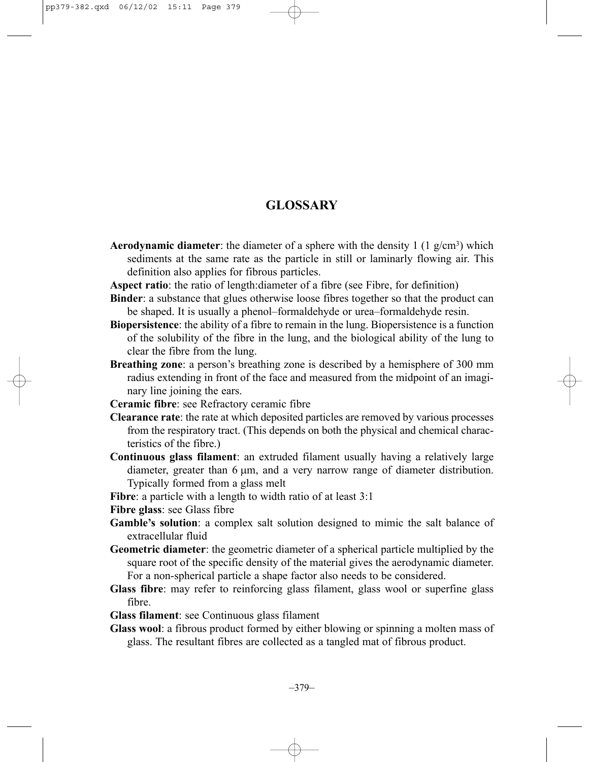## **GLOSSARY**

- **Aerodynamic diameter**: the diameter of a sphere with the density  $1(1 \text{ g/cm}^3)$  which sediments at the same rate as the particle in still or laminarly flowing air. This definition also applies for fibrous particles.
- **Aspect ratio**: the ratio of length:diameter of a fibre (see Fibre, for definition)
- **Binder**: a substance that glues otherwise loose fibres together so that the product can be shaped. It is usually a phenol–formaldehyde or urea–formaldehyde resin.
- **Biopersistence**: the ability of a fibre to remain in the lung. Biopersistence is a function of the solubility of the fibre in the lung, and the biological ability of the lung to clear the fibre from the lung.
- **Breathing zone**: a person's breathing zone is described by a hemisphere of 300 mm radius extending in front of the face and measured from the midpoint of an imaginary line joining the ears.
- **Ceramic fibre**: see Refractory ceramic fibre
- **Clearance rate**: the rate at which deposited particles are removed by various processes from the respiratory tract. (This depends on both the physical and chemical characteristics of the fibre.)
- **Continuous glass filament**: an extruded filament usually having a relatively large diameter, greater than 6  $\mu$ m, and a very narrow range of diameter distribution. Typically formed from a glass melt
- **Fibre**: a particle with a length to width ratio of at least 3:1
- **Fibre glass**: see Glass fibre
- **Gamble's solution**: a complex salt solution designed to mimic the salt balance of extracellular fluid
- **Geometric diameter**: the geometric diameter of a spherical particle multiplied by the square root of the specific density of the material gives the aerodynamic diameter. For a non-spherical particle a shape factor also needs to be considered.
- **Glass fibre**: may refer to reinforcing glass filament, glass wool or superfine glass fibre.
- **Glass filament**: see Continuous glass filament
- **Glass wool**: a fibrous product formed by either blowing or spinning a molten mass of glass. The resultant fibres are collected as a tangled mat of fibrous product.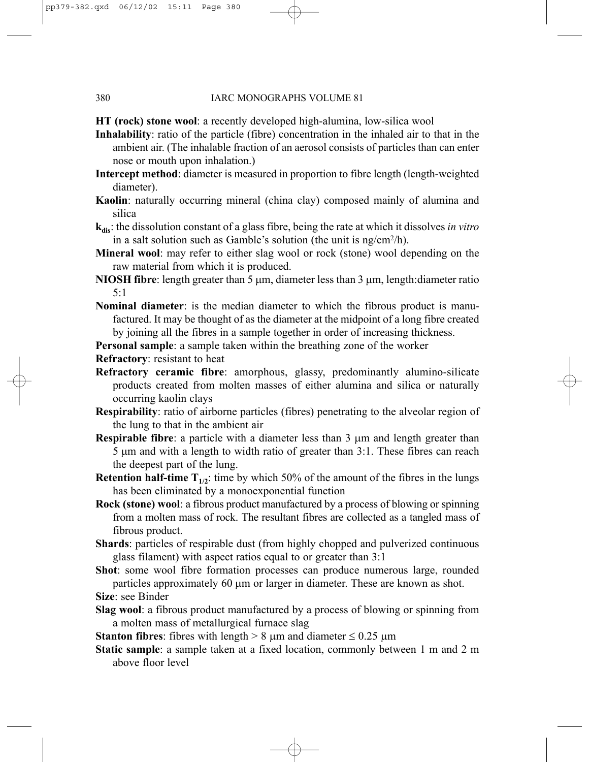**HT (rock) stone wool**: a recently developed high-alumina, low-silica wool

**Inhalability**: ratio of the particle (fibre) concentration in the inhaled air to that in the ambient air. (The inhalable fraction of an aerosol consists of particles than can enter nose or mouth upon inhalation.)

- **Intercept method**: diameter is measured in proportion to fibre length (length-weighted diameter).
- **Kaolin**: naturally occurring mineral (china clay) composed mainly of alumina and silica
- **kdis**: the dissolution constant of a glass fibre, being the rate at which it dissolves *in vitro* in a salt solution such as Gamble's solution (the unit is ng/cm2/h).
- **Mineral wool**: may refer to either slag wool or rock (stone) wool depending on the raw material from which it is produced.
- **NIOSH fibre**: length greater than 5 µm, diameter less than 3 µm, length: diameter ratio  $5.1$
- **Nominal diameter**: is the median diameter to which the fibrous product is manufactured. It may be thought of as the diameter at the midpoint of a long fibre created by joining all the fibres in a sample together in order of increasing thickness.

**Personal sample**: a sample taken within the breathing zone of the worker

**Refractory**: resistant to heat

- **Refractory ceramic fibre**: amorphous, glassy, predominantly alumino-silicate products created from molten masses of either alumina and silica or naturally occurring kaolin clays
- **Respirability**: ratio of airborne particles (fibres) penetrating to the alveolar region of the lung to that in the ambient air
- **Respirable fibre:** a particle with a diameter less than 3  $\mu$ m and length greater than 5 µm and with a length to width ratio of greater than 3:1. These fibres can reach the deepest part of the lung.
- **Retention half-time**  $T_{1/2}$ **:** time by which 50% of the amount of the fibres in the lungs has been eliminated by a monoexponential function
- **Rock (stone) wool**: a fibrous product manufactured by a process of blowing or spinning from a molten mass of rock. The resultant fibres are collected as a tangled mass of fibrous product.
- **Shards**: particles of respirable dust (from highly chopped and pulverized continuous glass filament) with aspect ratios equal to or greater than 3:1
- **Shot**: some wool fibre formation processes can produce numerous large, rounded particles approximately 60 µm or larger in diameter. These are known as shot.

**Size**: see Binder

- **Slag wool**: a fibrous product manufactured by a process of blowing or spinning from a molten mass of metallurgical furnace slag
- **Stanton fibres**: fibres with length  $> 8 \mu$ m and diameter  $\leq 0.25 \mu$ m
- **Static sample**: a sample taken at a fixed location, commonly between 1 m and 2 m above floor level